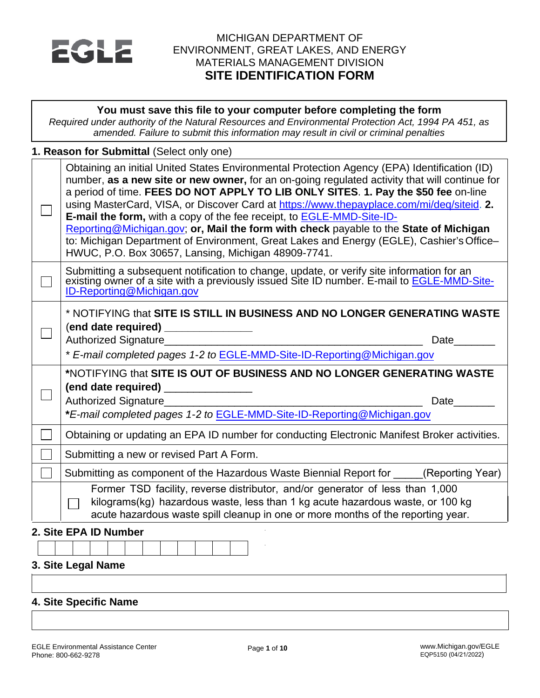

## MICHIGAN DEPARTMENT OF ENVIRONMENT, GREAT LAKES, AND ENERGY MATERIALS MANAGEMENT DIVISION **SITE IDENTIFICATION FORM**

| You must save this file to your computer before completing the form<br>Required under authority of the Natural Resources and Environmental Protection Act, 1994 PA 451, as<br>amended. Failure to submit this information may result in civil or criminal penalties                                                                                                                                                                                                                                                                                                                                                                                                                                                 |
|---------------------------------------------------------------------------------------------------------------------------------------------------------------------------------------------------------------------------------------------------------------------------------------------------------------------------------------------------------------------------------------------------------------------------------------------------------------------------------------------------------------------------------------------------------------------------------------------------------------------------------------------------------------------------------------------------------------------|
| 1. Reason for Submittal (Select only one)                                                                                                                                                                                                                                                                                                                                                                                                                                                                                                                                                                                                                                                                           |
| Obtaining an initial United States Environmental Protection Agency (EPA) Identification (ID)<br>number, as a new site or new owner, for an on-going regulated activity that will continue for<br>a period of time. FEES DO NOT APPLY TO LIB ONLY SITES. 1. Pay the \$50 fee on-line<br>using MasterCard, VISA, or Discover Card at https://www.thepayplace.com/mi/deq/siteid. 2.<br><b>E-mail the form, with a copy of the fee receipt, to <b>EGLE-MMD-Site-ID-</b></b><br>Reporting@Michigan.gov; or, Mail the form with check payable to the State of Michigan<br>to: Michigan Department of Environment, Great Lakes and Energy (EGLE), Cashier's Office-<br>HWUC, P.O. Box 30657, Lansing, Michigan 48909-7741. |
| Submitting a subsequent notification to change, update, or verify site information for an<br>existing owner of a site with a previously issued Site ID number. E-mail to <b>EGLE-MMD-Site-</b><br>ID-Reporting@Michigan.gov                                                                                                                                                                                                                                                                                                                                                                                                                                                                                         |
| * NOTIFYING that SITE IS STILL IN BUSINESS AND NO LONGER GENERATING WASTE<br>(end date required) _______________<br>Authorized Signature<br>Date<br>* E-mail completed pages 1-2 to EGLE-MMD-Site-ID-Reporting@Michigan.gov                                                                                                                                                                                                                                                                                                                                                                                                                                                                                         |
| *NOTIFYING that SITE IS OUT OF BUSINESS AND NO LONGER GENERATING WASTE                                                                                                                                                                                                                                                                                                                                                                                                                                                                                                                                                                                                                                              |
| (end date required) _______________<br>Authorized Signature<br>Date<br>*E-mail completed pages 1-2 to EGLE-MMD-Site-ID-Reporting@Michigan.gov                                                                                                                                                                                                                                                                                                                                                                                                                                                                                                                                                                       |
| Obtaining or updating an EPA ID number for conducting Electronic Manifest Broker activities.                                                                                                                                                                                                                                                                                                                                                                                                                                                                                                                                                                                                                        |
| Submitting a new or revised Part A Form.                                                                                                                                                                                                                                                                                                                                                                                                                                                                                                                                                                                                                                                                            |
| Submitting as component of the Hazardous Waste Biennial Report for (Reporting Year)                                                                                                                                                                                                                                                                                                                                                                                                                                                                                                                                                                                                                                 |
| Former TSD facility, reverse distributor, and/or generator of less than 1,000<br>kilograms(kg) hazardous waste, less than 1 kg acute hazardous waste, or 100 kg<br>acute hazardous waste spill cleanup in one or more months of the reporting year.                                                                                                                                                                                                                                                                                                                                                                                                                                                                 |
| 2. Site EPA ID Number                                                                                                                                                                                                                                                                                                                                                                                                                                                                                                                                                                                                                                                                                               |
|                                                                                                                                                                                                                                                                                                                                                                                                                                                                                                                                                                                                                                                                                                                     |
| 3. Site Legal Name                                                                                                                                                                                                                                                                                                                                                                                                                                                                                                                                                                                                                                                                                                  |

# **4. Site Specific Name**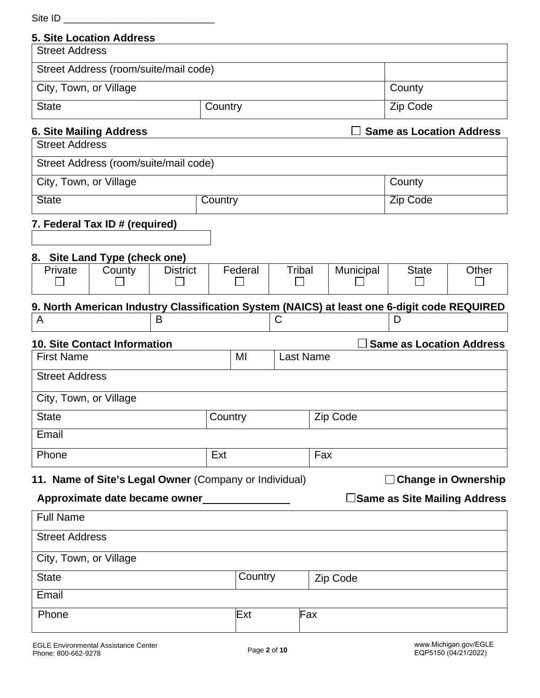| Site ID                |                                                        |                 |         |         |               |                  |                                                                                             |                                 |                            |
|------------------------|--------------------------------------------------------|-----------------|---------|---------|---------------|------------------|---------------------------------------------------------------------------------------------|---------------------------------|----------------------------|
|                        | <b>5. Site Location Address</b>                        |                 |         |         |               |                  |                                                                                             |                                 |                            |
| <b>Street Address</b>  |                                                        |                 |         |         |               |                  |                                                                                             |                                 |                            |
|                        | Street Address (room/suite/mail code)                  |                 |         |         |               |                  |                                                                                             |                                 |                            |
| City, Town, or Village |                                                        |                 |         |         |               |                  |                                                                                             | County                          |                            |
| <b>State</b>           |                                                        |                 | Country |         |               |                  |                                                                                             | Zip Code                        |                            |
|                        | <b>6. Site Mailing Address</b>                         |                 |         |         |               |                  |                                                                                             | <b>Same as Location Address</b> |                            |
| <b>Street Address</b>  |                                                        |                 |         |         |               |                  |                                                                                             |                                 |                            |
|                        | Street Address (room/suite/mail code)                  |                 |         |         |               |                  |                                                                                             |                                 |                            |
| City, Town, or Village |                                                        |                 |         |         |               |                  |                                                                                             | County                          |                            |
| <b>State</b>           |                                                        |                 | Country |         |               |                  |                                                                                             | <b>Zip Code</b>                 |                            |
|                        | 7. Federal Tax ID # (required)                         |                 |         |         |               |                  |                                                                                             |                                 |                            |
|                        |                                                        |                 |         |         |               |                  |                                                                                             |                                 |                            |
|                        | 8. Site Land Type (check one)                          |                 |         |         |               |                  |                                                                                             |                                 |                            |
| Private                | County                                                 | <b>District</b> |         | Federal | <b>Tribal</b> |                  | Municipal                                                                                   | <b>State</b>                    | Other                      |
|                        |                                                        |                 |         |         |               |                  |                                                                                             |                                 |                            |
| A                      |                                                        | B               |         |         | C             |                  | 9. North American Industry Classification System (NAICS) at least one 6-digit code REQUIRED | D                               |                            |
|                        |                                                        |                 |         |         |               |                  |                                                                                             |                                 |                            |
|                        | <b>10. Site Contact Information</b>                    |                 |         |         |               |                  |                                                                                             | <b>Same as Location Address</b> |                            |
| <b>First Name</b>      |                                                        |                 |         | MI      |               | <b>Last Name</b> |                                                                                             |                                 |                            |
| <b>Street Address</b>  |                                                        |                 |         |         |               |                  |                                                                                             |                                 |                            |
| City, Town, or Village |                                                        |                 |         |         |               |                  |                                                                                             |                                 |                            |
| <b>State</b>           |                                                        |                 | Country |         |               |                  | Zip Code                                                                                    |                                 |                            |
| Email                  |                                                        |                 |         |         |               |                  |                                                                                             |                                 |                            |
| Phone                  |                                                        |                 | Ext     |         |               | Fax              |                                                                                             |                                 |                            |
|                        | 11. Name of Site's Legal Owner (Company or Individual) |                 |         |         |               |                  |                                                                                             |                                 | $\Box$ Change in Ownership |
|                        | Approximate date became owner                          |                 |         |         |               |                  |                                                                                             | ∃Same as Site Mailing Address   |                            |
| <b>Full Name</b>       |                                                        |                 |         |         |               |                  |                                                                                             |                                 |                            |
| <b>Street Address</b>  |                                                        |                 |         |         |               |                  |                                                                                             |                                 |                            |
| City, Town, or Village |                                                        |                 |         |         |               |                  |                                                                                             |                                 |                            |
| <b>State</b>           |                                                        |                 |         | Country |               |                  | Zip Code                                                                                    |                                 |                            |
| Email                  |                                                        |                 |         |         |               |                  |                                                                                             |                                 |                            |
| Phone                  |                                                        |                 |         | Ext     |               | Fax              |                                                                                             |                                 |                            |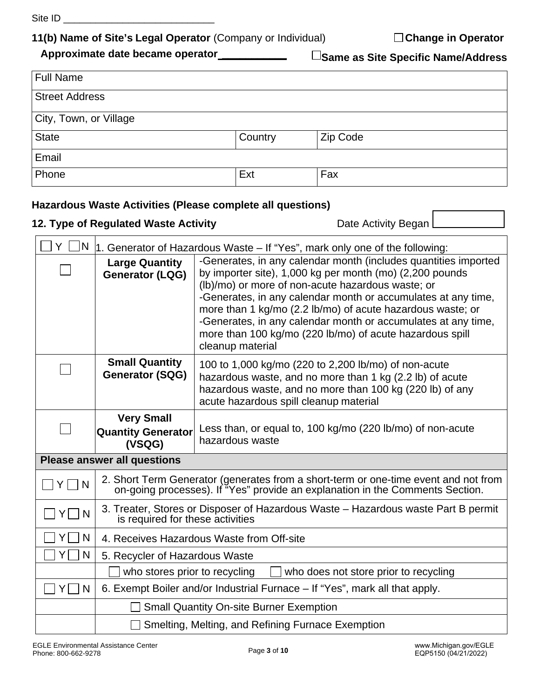Site ID \_\_\_\_\_\_\_\_\_\_\_\_\_\_\_\_\_\_\_\_\_\_\_\_\_\_\_\_

# **11(b) Name of Site's Legal Operator** (Company or Individual) **Change in Operator**

 **Approximate date became operator \_\_\_\_\_\_\_\_\_\_\_**

**Same as Site Specific Name/Address**

| <b>Full Name</b>       |         |          |  |  |
|------------------------|---------|----------|--|--|
| <b>Street Address</b>  |         |          |  |  |
| City, Town, or Village |         |          |  |  |
| <b>State</b>           | Country | Zip Code |  |  |
| Email                  |         |          |  |  |
| Phone                  | Ext     | Fax      |  |  |

# **Hazardous Waste Activities (Please complete all questions)**

# **12. Type of Regulated Waste Activity Date Activity Began** L

| N<br>Y    |                                                                                                                                           | 1. Generator of Hazardous Waste – If "Yes", mark only one of the following:                                                                                                                                                                                                                                                                                                      |  |  |
|-----------|-------------------------------------------------------------------------------------------------------------------------------------------|----------------------------------------------------------------------------------------------------------------------------------------------------------------------------------------------------------------------------------------------------------------------------------------------------------------------------------------------------------------------------------|--|--|
|           | <b>Large Quantity</b><br><b>Generator (LQG)</b>                                                                                           | -Generates, in any calendar month (includes quantities imported<br>by importer site), 1,000 kg per month (mo) (2,200 pounds<br>(lb)/mo) or more of non-acute hazardous waste; or<br>-Generates, in any calendar month or accumulates at any time,<br>more than 1 kg/mo (2.2 lb/mo) of acute hazardous waste; or<br>-Generates, in any calendar month or accumulates at any time, |  |  |
|           |                                                                                                                                           | more than 100 kg/mo (220 lb/mo) of acute hazardous spill<br>cleanup material                                                                                                                                                                                                                                                                                                     |  |  |
|           | <b>Small Quantity</b><br><b>Generator (SQG)</b>                                                                                           | 100 to 1,000 kg/mo (220 to 2,200 lb/mo) of non-acute<br>hazardous waste, and no more than 1 kg (2.2 lb) of acute<br>hazardous waste, and no more than 100 kg (220 lb) of any<br>acute hazardous spill cleanup material                                                                                                                                                           |  |  |
|           | <b>Very Small</b><br>Less than, or equal to, 100 kg/mo (220 lb/mo) of non-acute<br><b>Quantity Generator</b><br>hazardous waste<br>(VSQG) |                                                                                                                                                                                                                                                                                                                                                                                  |  |  |
|           | <b>Please answer all questions</b>                                                                                                        |                                                                                                                                                                                                                                                                                                                                                                                  |  |  |
| l N       |                                                                                                                                           | 2. Short Term Generator (generates from a short-term or one-time event and not from<br>on-going processes). If "Yes" provide an explanation in the Comments Section.                                                                                                                                                                                                             |  |  |
| YI<br>N   | 3. Treater, Stores or Disposer of Hazardous Waste - Hazardous waste Part B permit<br>is required for these activities                     |                                                                                                                                                                                                                                                                                                                                                                                  |  |  |
| YΙ<br>N   | 4. Receives Hazardous Waste from Off-site                                                                                                 |                                                                                                                                                                                                                                                                                                                                                                                  |  |  |
| N<br>Y.   | 5. Recycler of Hazardous Waste                                                                                                            |                                                                                                                                                                                                                                                                                                                                                                                  |  |  |
|           | who stores prior to recycling<br>who does not store prior to recycling                                                                    |                                                                                                                                                                                                                                                                                                                                                                                  |  |  |
| YI I<br>N |                                                                                                                                           | 6. Exempt Boiler and/or Industrial Furnace – If "Yes", mark all that apply.                                                                                                                                                                                                                                                                                                      |  |  |
|           |                                                                                                                                           | <b>Small Quantity On-site Burner Exemption</b>                                                                                                                                                                                                                                                                                                                                   |  |  |
|           |                                                                                                                                           | Smelting, Melting, and Refining Furnace Exemption                                                                                                                                                                                                                                                                                                                                |  |  |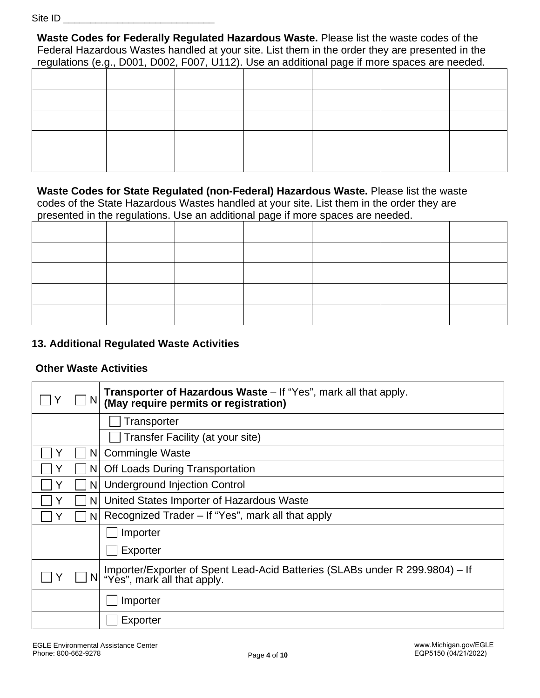Site ID

**Waste Codes for Federally Regulated Hazardous Waste.** Please list the waste codes of the Federal Hazardous Wastes handled at your site. List them in the order they are presented in the regulations (e.g., D001, D002, F007, U112). Use an additional page if more spaces are needed.

**Waste Codes for State Regulated (non-Federal) Hazardous Waste.** Please list the waste codes of the State Hazardous Wastes handled at your site. List them in the order they are presented in the regulations. Use an additional page if more spaces are needed.

## **13. Additional Regulated Waste Activities**

#### **Other Waste Activities**

|   |                | <b>Transporter of Hazardous Waste</b> – If "Yes", mark all that apply.<br>(May require permits or registration) |
|---|----------------|-----------------------------------------------------------------------------------------------------------------|
|   |                | Transporter                                                                                                     |
|   |                | Transfer Facility (at your site)                                                                                |
|   | N              | <b>Commingle Waste</b>                                                                                          |
| Y | ΝI             | <b>Off Loads During Transportation</b>                                                                          |
| Y | N <sub>1</sub> | <b>Underground Injection Control</b>                                                                            |
|   | N.             | United States Importer of Hazardous Waste                                                                       |
| Y | N.             | Recognized Trader – If "Yes", mark all that apply                                                               |
|   |                | Importer                                                                                                        |
|   |                | Exporter                                                                                                        |
|   |                | Importer/Exporter of Spent Lead-Acid Batteries (SLABs under R 299.9804) – If<br>"Yes", mark all that apply.     |
|   |                | Importer                                                                                                        |
|   |                | Exporter                                                                                                        |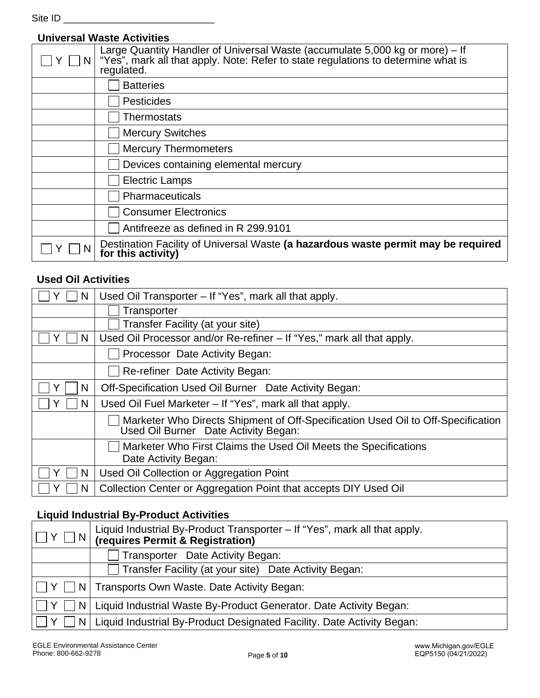Site ID \_\_\_\_\_\_\_\_\_\_\_\_\_\_\_\_\_\_\_\_\_\_\_\_\_\_\_\_

## **Universal Waste Activities**

| Large Quantity Handler of Universal Waste (accumulate 5,000 kg or more) – If<br>"Yes", mark all that apply. Note: Refer to state regulations to determine what is<br>regulated. |
|---------------------------------------------------------------------------------------------------------------------------------------------------------------------------------|
| <b>Batteries</b>                                                                                                                                                                |
| <b>Pesticides</b>                                                                                                                                                               |
| Thermostats                                                                                                                                                                     |
| <b>Mercury Switches</b>                                                                                                                                                         |
| <b>Mercury Thermometers</b>                                                                                                                                                     |
| Devices containing elemental mercury                                                                                                                                            |
| <b>Electric Lamps</b>                                                                                                                                                           |
| Pharmaceuticals                                                                                                                                                                 |
| <b>Consumer Electronics</b>                                                                                                                                                     |
| Antifreeze as defined in R 299.9101                                                                                                                                             |
| Destination Facility of Universal Waste (a hazardous waste permit may be required<br>for this activity)                                                                         |

# **Used Oil Activities**

| N | Used Oil Transporter - If "Yes", mark all that apply.                                                                    |
|---|--------------------------------------------------------------------------------------------------------------------------|
|   | Transporter                                                                                                              |
|   | Transfer Facility (at your site)                                                                                         |
| N | Used Oil Processor and/or Re-refiner – If "Yes," mark all that apply.                                                    |
|   | Processor Date Activity Began:                                                                                           |
|   | Re-refiner Date Activity Began:                                                                                          |
| N | Off-Specification Used Oil Burner Date Activity Began:                                                                   |
| N | Used Oil Fuel Marketer - If "Yes", mark all that apply.                                                                  |
|   | Marketer Who Directs Shipment of Off-Specification Used Oil to Off-Specification<br>Used Oil Burner Date Activity Began: |
|   | Marketer Who First Claims the Used Oil Meets the Specifications<br>Date Activity Began:                                  |
| N | Used Oil Collection or Aggregation Point                                                                                 |
| N | Collection Center or Aggregation Point that accepts DIY Used Oil                                                         |

# **Liquid Industrial By-Product Activities**

| $\boxed{\Box \text{ Y } \Box \text{ N}}$ Liquid Industrial By-Product Transporter – If "Yes", mark all that apply.<br>$\boxed{\Box \text{ Y } \Box \text{ N}}$ (requires Permit & Registration) |
|-------------------------------------------------------------------------------------------------------------------------------------------------------------------------------------------------|
| Transporter Date Activity Began:                                                                                                                                                                |
| Transfer Facility (at your site) Date Activity Began:                                                                                                                                           |
| Y     N   Transports Own Waste. Date Activity Began:                                                                                                                                            |
| Y     N   Liquid Industrial Waste By-Product Generator. Date Activity Began:                                                                                                                    |
| $ \Box Y \Box N $ Liquid Industrial By-Product Designated Facility. Date Activity Began:                                                                                                        |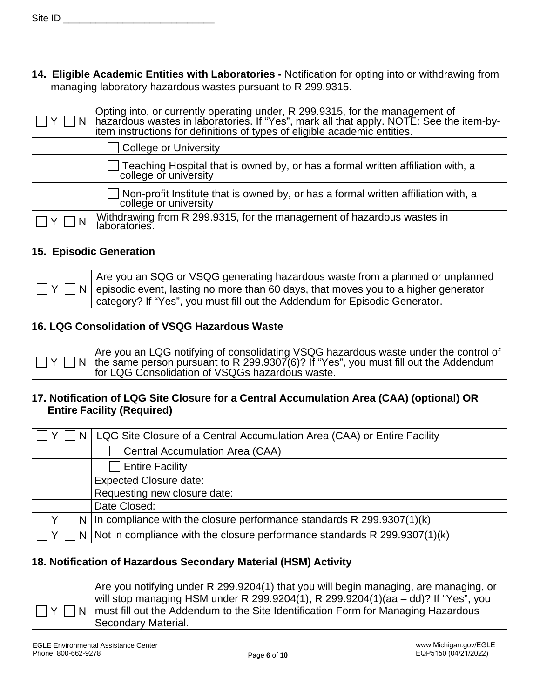**14. Eligible Academic Entities with Laboratories -** Notification for opting into or withdrawing from managing laboratory hazardous wastes pursuant to R 299.9315.

| Y <sub>1</sub> | Opting into, or currently operating under, R 299.9315, for the management of<br>hazardous wastes in laboratories. If "Yes", mark all that apply. NOTE: See the item-by-<br>item instructions for definitions of types of eligible academic entities. |
|----------------|------------------------------------------------------------------------------------------------------------------------------------------------------------------------------------------------------------------------------------------------------|
|                | College or University                                                                                                                                                                                                                                |
|                | Teaching Hospital that is owned by, or has a formal written affiliation with, a<br>college or university                                                                                                                                             |
|                | Non-profit Institute that is owned by, or has a formal written affiliation with, a<br>college or university                                                                                                                                          |
|                | Withdrawing from R 299.9315, for the management of hazardous wastes in<br>laboratories.                                                                                                                                                              |

#### **15. Episodic Generation**

| Are you an SQG or VSQG generating hazardous waste from a planned or unplanned                        |
|------------------------------------------------------------------------------------------------------|
| $ \Box Y \Box N $ episodic event, lasting no more than 60 days, that moves you to a higher generator |
| category? If "Yes", you must fill out the Addendum for Episodic Generator.                           |

### **16. LQG Consolidation of VSQG Hazardous Waste**



### **17. Notification of LQG Site Closure for a Central Accumulation Area (CAA) (optional) OR Entire Facility (Required)**

| N | LQG Site Closure of a Central Accumulation Area (CAA) or Entire Facility      |
|---|-------------------------------------------------------------------------------|
|   | Central Accumulation Area (CAA)                                               |
|   | <b>Entire Facility</b>                                                        |
|   | <b>Expected Closure date:</b>                                                 |
|   | Requesting new closure date:                                                  |
|   | Date Closed:                                                                  |
|   | N   In compliance with the closure performance standards R $299.9307(1)(k)$   |
|   | N   Not in compliance with the closure performance standards R 299.9307(1)(k) |

### **18. Notification of Hazardous Secondary Material (HSM) Activity**



Are you notifying under R 299.9204(1) that you will begin managing, are managing, or will stop managing HSM under R 299.9204(1), R 299.9204(1)(aa – dd)? If "Yes", you must fill out the Addendum to the Site Identification Form for Managing Hazardous Secondary Material.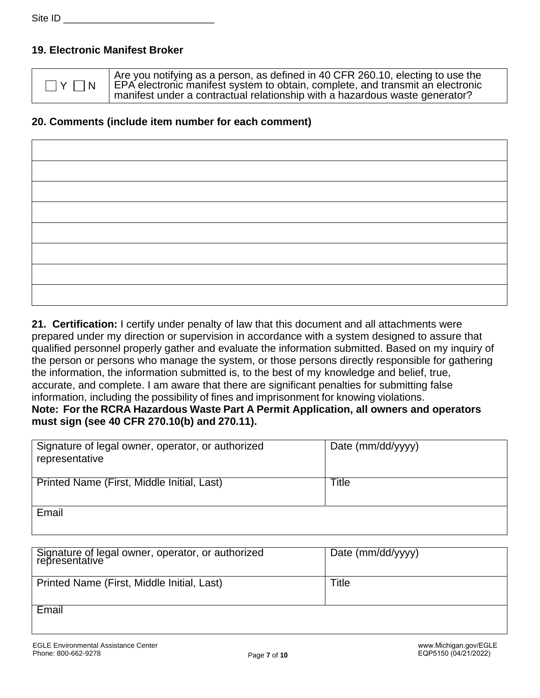## **19. Electronic Manifest Broker**

 $\exists$  Y  $\Box$  N

Are you notifying as a person, as defined in 40 CFR 260.10, electing to use the EPA electronic manifest system to obtain, complete, and transmit an electronic manifest under a contractual relationship with a hazardous waste generator?

## **20. Comments (include item number for each comment)**

**21. Certification:** I certify under penalty of law that this document and all attachments were prepared under my direction or supervision in accordance with a system designed to assure that qualified personnel properly gather and evaluate the information submitted. Based on my inquiry of the person or persons who manage the system, or those persons directly responsible for gathering the information, the information submitted is, to the best of my knowledge and belief, true, accurate, and complete. I am aware that there are significant penalties for submitting false information, including the possibility of fines and imprisonment for knowing violations. **Note: For the RCRA Hazardous Waste Part A Permit Application, all owners and operators must sign (see 40 CFR 270.10(b) and 270.11).**

| Signature of legal owner, operator, or authorized<br>representative | Date (mm/dd/yyyy) |
|---------------------------------------------------------------------|-------------------|
| Printed Name (First, Middle Initial, Last)                          | Title             |
| Email                                                               |                   |

| <sup>1</sup> Signature of legal owner, operator, or authorized<br>representative | Date (mm/dd/yyyy) |
|----------------------------------------------------------------------------------|-------------------|
| Printed Name (First, Middle Initial, Last)                                       | Title             |
| Email                                                                            |                   |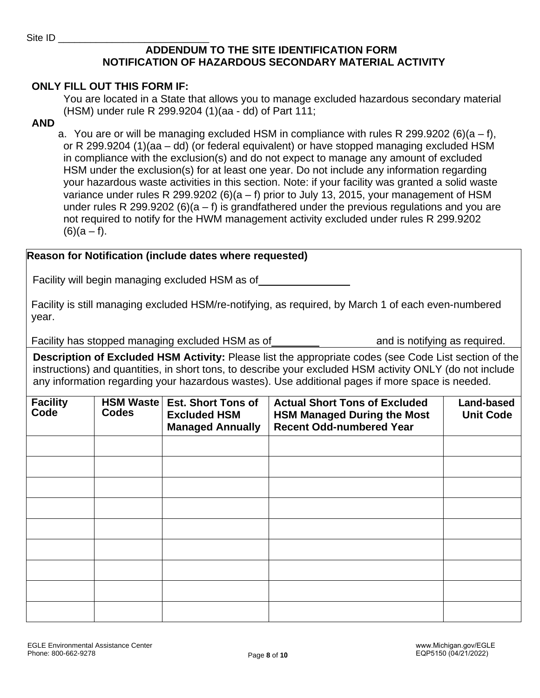## **ADDENDUM TO THE SITE IDENTIFICATION FORM NOTIFICATION OF HAZARDOUS SECONDARY MATERIAL ACTIVITY**

#### **ONLY FILL OUT THIS FORM IF:**

You are located in a State that allows you to manage excluded hazardous secondary material (HSM) under rule R 299.9204 (1)(aa - dd) of Part 111;

#### **AND**

a. You are or will be managing excluded HSM in compliance with rules R 299.9202 (6)( $a - f$ ), or R 299.9204 (1)(aa – dd) (or federal equivalent) or have stopped managing excluded HSM in compliance with the exclusion(s) and do not expect to manage any amount of excluded HSM under the exclusion(s) for at least one year. Do not include any information regarding your hazardous waste activities in this section. Note: if your facility was granted a solid waste variance under rules R 299.9202 (6)( $a - f$ ) prior to July 13, 2015, your management of HSM under rules R 299.9202 (6)( $a - f$ ) is grandfathered under the previous regulations and you are not required to notify for the HWM management activity excluded under rules R 299.9202  $(6)(a - f)$ .

#### **Reason for Notification (include dates where requested)**

Facility will begin managing excluded HSM as of

Facility is still managing excluded HSM/re-notifying, as required, by March 1 of each even-numbered year.

Facility has stopped managing excluded HSM as of and is notifying as required.

**Description of Excluded HSM Activity:** Please list the appropriate codes (see Code List section of the instructions) and quantities, in short tons, to describe your excluded HSM activity ONLY (do not include any information regarding your hazardous wastes). Use additional pages if more space is needed.

| <b>Facility</b><br>Code | <b>HSM Waste</b><br><b>Codes</b> | <b>Est. Short Tons of</b><br><b>Excluded HSM</b><br><b>Managed Annually</b> | <b>Actual Short Tons of Excluded</b><br><b>HSM Managed During the Most</b><br><b>Recent Odd-numbered Year</b> | <b>Land-based</b><br><b>Unit Code</b> |
|-------------------------|----------------------------------|-----------------------------------------------------------------------------|---------------------------------------------------------------------------------------------------------------|---------------------------------------|
|                         |                                  |                                                                             |                                                                                                               |                                       |
|                         |                                  |                                                                             |                                                                                                               |                                       |
|                         |                                  |                                                                             |                                                                                                               |                                       |
|                         |                                  |                                                                             |                                                                                                               |                                       |
|                         |                                  |                                                                             |                                                                                                               |                                       |
|                         |                                  |                                                                             |                                                                                                               |                                       |
|                         |                                  |                                                                             |                                                                                                               |                                       |
|                         |                                  |                                                                             |                                                                                                               |                                       |
|                         |                                  |                                                                             |                                                                                                               |                                       |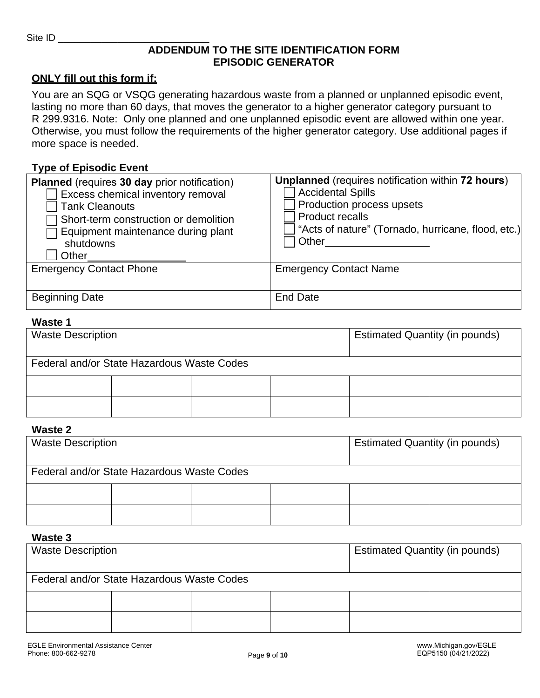#### **ADDENDUM TO THE SITE IDENTIFICATION FORM EPISODIC GENERATOR**

#### **ONLY fill out this form if:**

You are an SQG or VSQG generating hazardous waste from a planned or unplanned episodic event, lasting no more than 60 days, that moves the generator to a higher generator category pursuant to R 299.9316. Note: Only one planned and one unplanned episodic event are allowed within one year. Otherwise, you must follow the requirements of the higher generator category. Use additional pages if more space is needed.

#### **Type of Episodic Event**

| <b>Planned</b> (requires 30 day prior notification)<br>Excess chemical inventory removal<br><b>Tank Cleanouts</b><br>Short-term construction or demolition<br>Equipment maintenance during plant<br>shutdowns<br>Other | Unplanned (requires notification within 72 hours)<br><b>Accidental Spills</b><br>Production process upsets<br><b>Product recalls</b><br>"Acts of nature" (Tornado, hurricane, flood, etc.)<br>Other |
|------------------------------------------------------------------------------------------------------------------------------------------------------------------------------------------------------------------------|-----------------------------------------------------------------------------------------------------------------------------------------------------------------------------------------------------|
| <b>Emergency Contact Phone</b>                                                                                                                                                                                         | <b>Emergency Contact Name</b>                                                                                                                                                                       |
| <b>Beginning Date</b>                                                                                                                                                                                                  | End Date                                                                                                                                                                                            |

#### **Waste 1**

| <b>Waste Description</b>                   |  |  | <b>Estimated Quantity (in pounds)</b> |  |  |
|--------------------------------------------|--|--|---------------------------------------|--|--|
| Federal and/or State Hazardous Waste Codes |  |  |                                       |  |  |
|                                            |  |  |                                       |  |  |
|                                            |  |  |                                       |  |  |

#### **Waste 2**

| <b>Waste Description</b>                   |  | <b>Estimated Quantity (in pounds)</b> |  |  |  |
|--------------------------------------------|--|---------------------------------------|--|--|--|
| Federal and/or State Hazardous Waste Codes |  |                                       |  |  |  |
|                                            |  |                                       |  |  |  |
|                                            |  |                                       |  |  |  |

#### **Waste 3**

| <b>Waste Description</b>                   |  |  | <b>Estimated Quantity (in pounds)</b> |  |  |
|--------------------------------------------|--|--|---------------------------------------|--|--|
| Federal and/or State Hazardous Waste Codes |  |  |                                       |  |  |
|                                            |  |  |                                       |  |  |
|                                            |  |  |                                       |  |  |